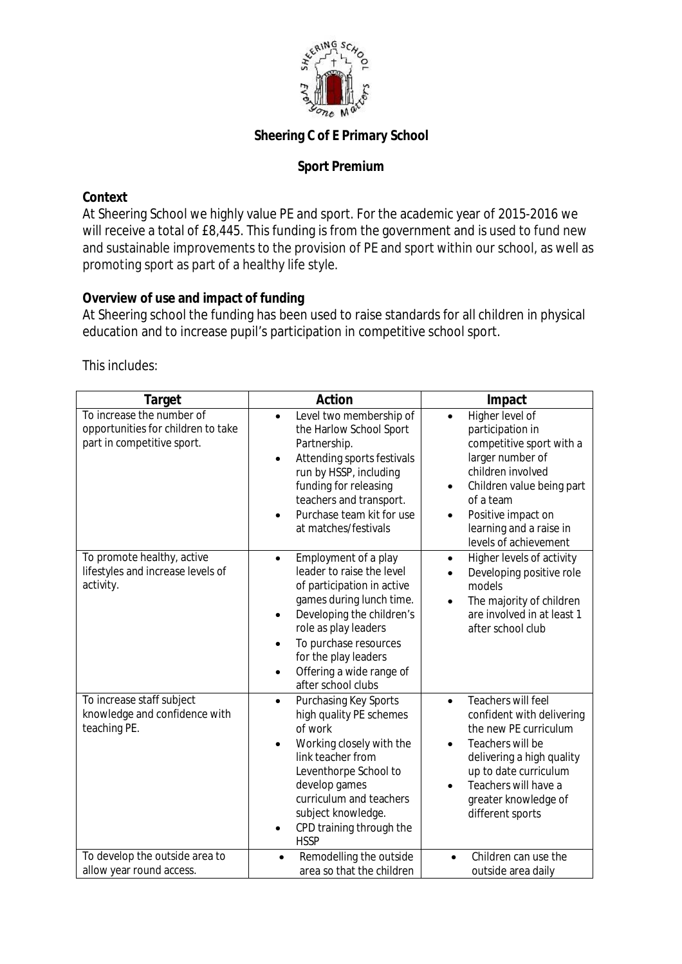

# **Sheering C of E Primary School**

## **Sport Premium**

### **Context**

At Sheering School we highly value PE and sport. For the academic year of 2015-2016 we will receive a total of £8,445. This funding is from the government and is used to fund new and sustainable improvements to the provision of PE and sport within our school, as well as promoting sport as part of a healthy life style.

## **Overview of use and impact of funding**

At Sheering school the funding has been used to raise standards for all children in physical education and to increase pupil's participation in competitive school sport.

This includes:

| <b>Target</b>                                                                                 | <b>Action</b>                                                                                                                                                                                                                                                                                              | Impact                                                                                                                                                                                                                                           |
|-----------------------------------------------------------------------------------------------|------------------------------------------------------------------------------------------------------------------------------------------------------------------------------------------------------------------------------------------------------------------------------------------------------------|--------------------------------------------------------------------------------------------------------------------------------------------------------------------------------------------------------------------------------------------------|
| To increase the number of<br>opportunities for children to take<br>part in competitive sport. | Level two membership of<br>$\bullet$<br>the Harlow School Sport<br>Partnership.<br>Attending sports festivals<br>run by HSSP, including<br>funding for releasing<br>teachers and transport.<br>Purchase team kit for use<br>at matches/festivals                                                           | Higher level of<br>$\bullet$<br>participation in<br>competitive sport with a<br>larger number of<br>children involved<br>Children value being part<br>٠<br>of a team<br>Positive impact on<br>learning and a raise in<br>levels of achievement   |
| To promote healthy, active<br>lifestyles and increase levels of<br>activity.                  | Employment of a play<br>leader to raise the level<br>of participation in active<br>games during lunch time.<br>Developing the children's<br>$\bullet$<br>role as play leaders<br>To purchase resources<br>$\bullet$<br>for the play leaders<br>Offering a wide range of<br>$\bullet$<br>after school clubs | Higher levels of activity<br>$\bullet$<br>Developing positive role<br>models<br>The majority of children<br>$\bullet$<br>are involved in at least 1<br>after school club                                                                         |
| To increase staff subject<br>knowledge and confidence with<br>teaching PE.                    | Purchasing Key Sports<br>$\bullet$<br>high quality PE schemes<br>of work<br>Working closely with the<br>link teacher from<br>Leventhorpe School to<br>develop games<br>curriculum and teachers<br>subject knowledge.<br>CPD training through the<br><b>HSSP</b>                                            | Teachers will feel<br>$\bullet$<br>confident with delivering<br>the new PE curriculum<br>Teachers will be<br>$\bullet$<br>delivering a high quality<br>up to date curriculum<br>Teachers will have a<br>greater knowledge of<br>different sports |
| To develop the outside area to<br>allow year round access.                                    | Remodelling the outside<br>area so that the children                                                                                                                                                                                                                                                       | Children can use the<br>$\bullet$<br>outside area daily                                                                                                                                                                                          |